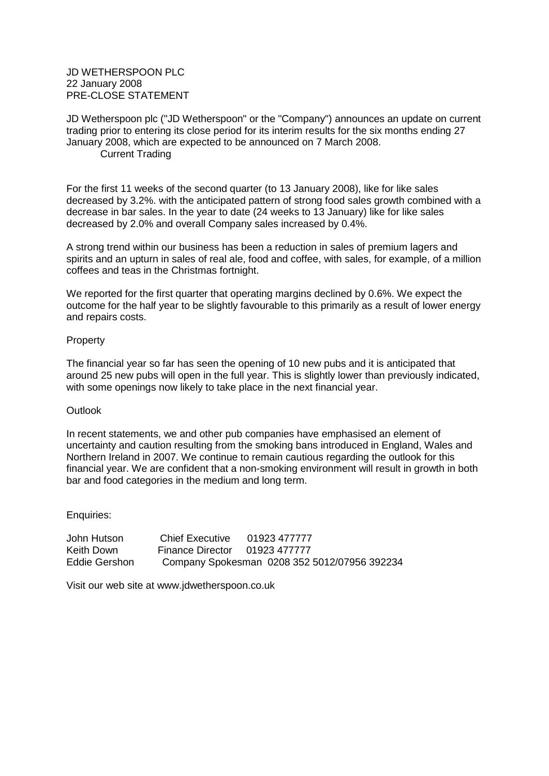## JD WETHERSPOON PLC 22 January 2008 PRE-CLOSE STATEMENT

JD Wetherspoon plc ("JD Wetherspoon" or the "Company") announces an update on current trading prior to entering its close period for its interim results for the six months ending 27 January 2008, which are expected to be announced on 7 March 2008. Current Trading

For the first 11 weeks of the second quarter (to 13 January 2008), like for like sales decreased by 3.2%. with the anticipated pattern of strong food sales growth combined with a decrease in bar sales. In the year to date (24 weeks to 13 January) like for like sales decreased by 2.0% and overall Company sales increased by 0.4%.

A strong trend within our business has been a reduction in sales of premium lagers and spirits and an upturn in sales of real ale, food and coffee, with sales, for example, of a million coffees and teas in the Christmas fortnight.

We reported for the first quarter that operating margins declined by 0.6%. We expect the outcome for the half year to be slightly favourable to this primarily as a result of lower energy and repairs costs.

## Property

The financial year so far has seen the opening of 10 new pubs and it is anticipated that around 25 new pubs will open in the full year. This is slightly lower than previously indicated, with some openings now likely to take place in the next financial year.

## **Outlook**

In recent statements, we and other pub companies have emphasised an element of uncertainty and caution resulting from the smoking bans introduced in England, Wales and Northern Ireland in 2007. We continue to remain cautious regarding the outlook for this financial year. We are confident that a non-smoking environment will result in growth in both bar and food categories in the medium and long term.

Enquiries:

John Hutson Chief Executive 01923 477777 Keith Down Finance Director 01923 477777 Eddie Gershon Company Spokesman 0208 352 5012/07956 392234

Visit our web site at www.jdwetherspoon.co.uk